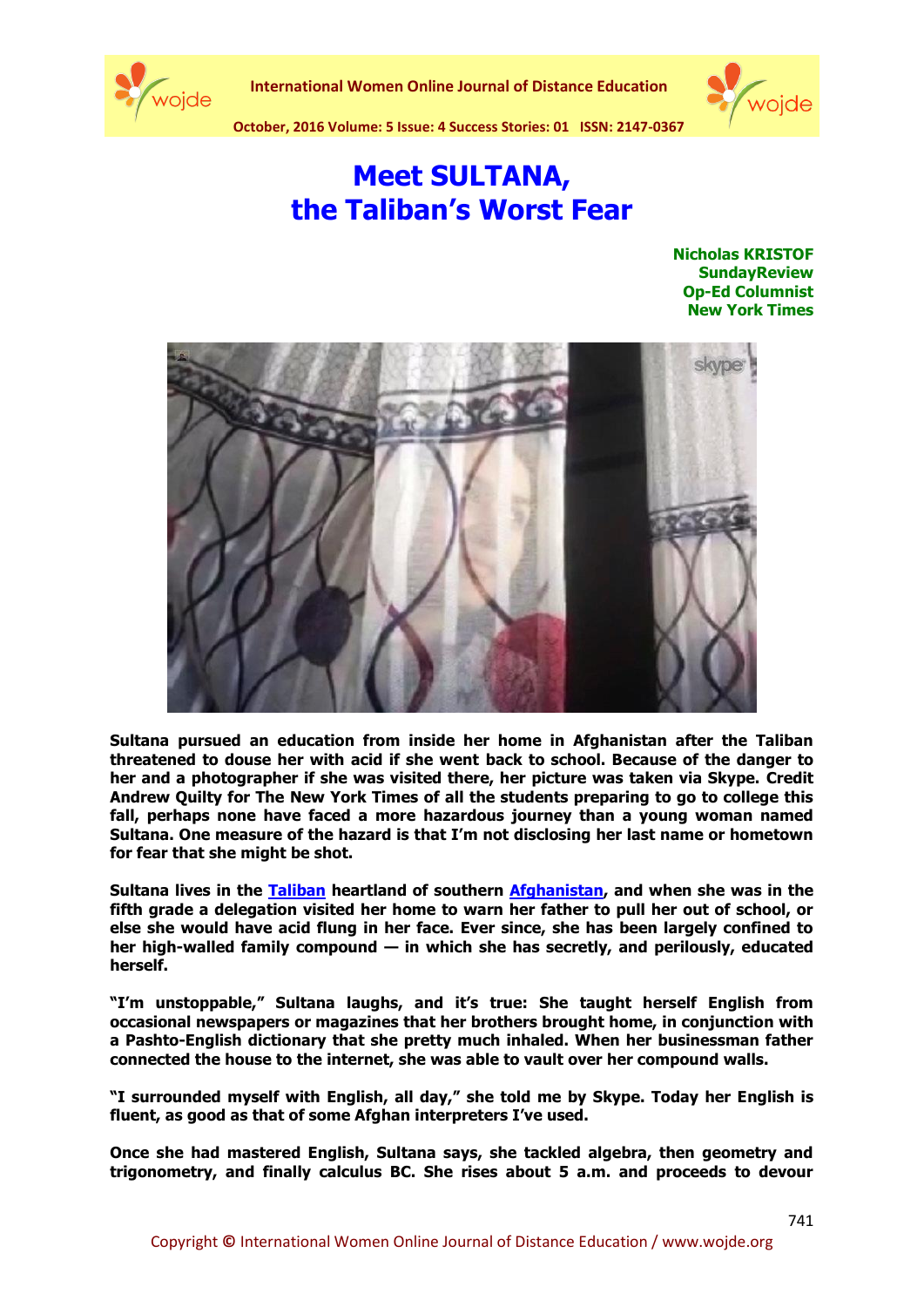



**October, 2016 Volume: 5 Issue: 4 Success Stories: 01 ISSN: 2147-0367**

## **Meet SULTANA, the Taliban's Worst Fear**

**[Nicholas KRISTOF](http://www.nytimes.com/column/nicholas-kristof) [SundayReview](http://www.nytimes.com/pages/opinion/index.html#sundayreview) Op-Ed Columnist New York Times**



**Sultana pursued an education from inside her home in Afghanistan after the Taliban threatened to douse her with acid if she went back to school. Because of the danger to her and a photographer if she was visited there, her picture was taken via Skype. Credit Andrew Quilty for The New York Times of all the students preparing to go to college this fall, perhaps none have faced a more hazardous journey than a young woman named Sultana. One measure of the hazard is that I'm not disclosing her last name or hometown for fear that she might be shot.**

**Sultana lives in the [Taliban](http://topics.nytimes.com/top/reference/timestopics/organizations/t/taliban/index.html?inline=nyt-org) heartland of southern [Afghanistan,](http://topics.nytimes.com/top/news/international/countriesandterritories/afghanistan/index.html?inline=nyt-geo) and when she was in the fifth grade a delegation visited her home to warn her father to pull her out of school, or else she would have acid flung in her face. Ever since, she has been largely confined to her high-walled family compound — in which she has secretly, and perilously, educated herself.**

**"I'm unstoppable," Sultana laughs, and it's true: She taught herself English from occasional newspapers or magazines that her brothers brought home, in conjunction with a Pashto-English dictionary that she pretty much inhaled. When her businessman father connected the house to the internet, she was able to vault over her compound walls.**

**"I surrounded myself with English, all day," she told me by Skype. Today her English is fluent, as good as that of some Afghan interpreters I've used.**

**Once she had mastered English, Sultana says, she tackled algebra, then geometry and trigonometry, and finally calculus BC. She rises about 5 a.m. and proceeds to devour**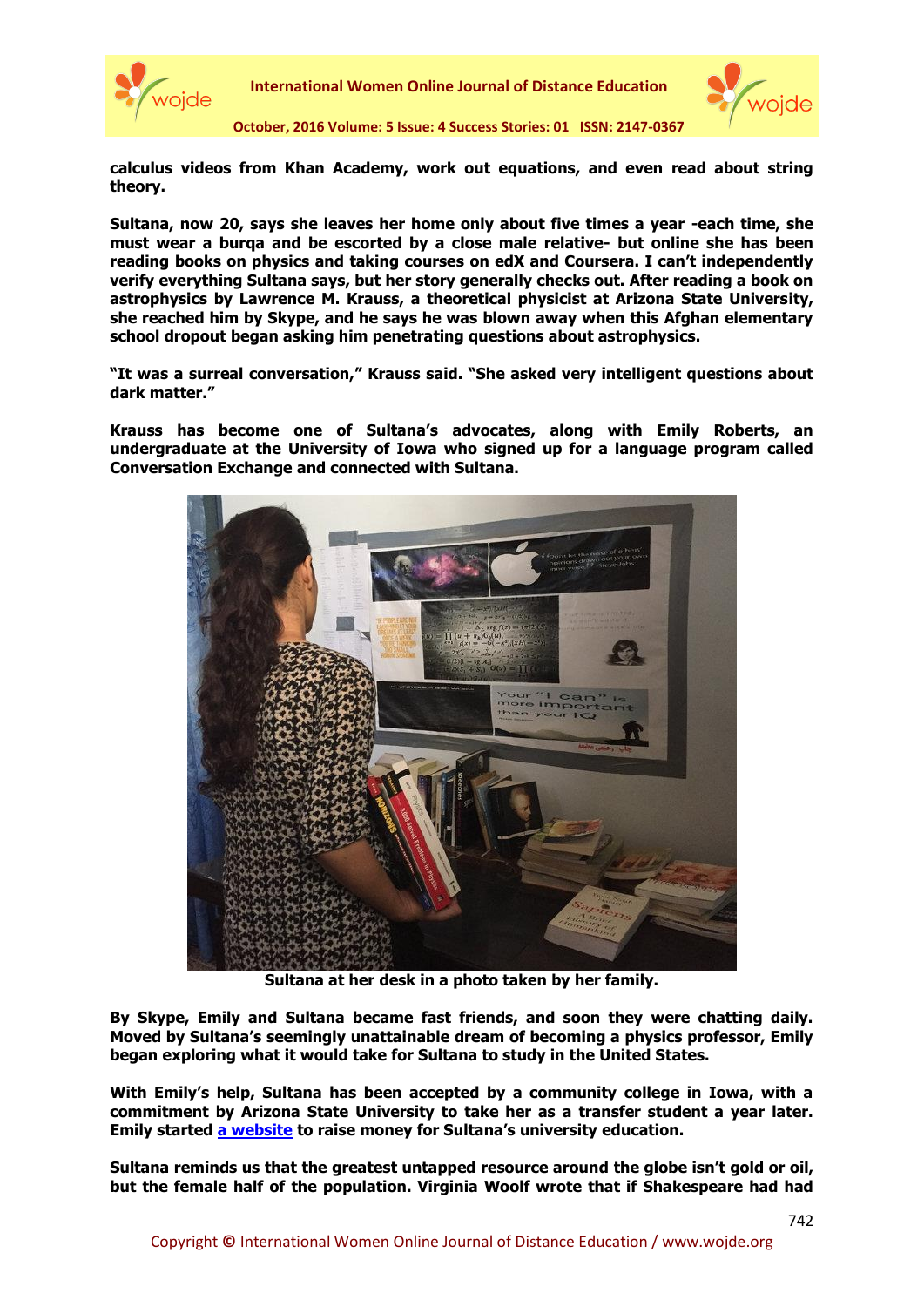

**International Women Online Journal of Distance Education**



**October, 2016 Volume: 5 Issue: 4 Success Stories: 01 ISSN: 2147-0367**

**calculus videos from Khan Academy, work out equations, and even read about string theory.**

**Sultana, now 20, says she leaves her home only about five times a year -each time, she must wear a burqa and be escorted by a close male relative- but online she has been reading books on physics and taking courses on edX and Coursera. I can't independently verify everything Sultana says, but her story generally checks out. After reading a book on astrophysics by Lawrence M. Krauss, a theoretical physicist at Arizona State University, she reached him by Skype, and he says he was blown away when this Afghan elementary school dropout began asking him penetrating questions about astrophysics.**

**"It was a surreal conversation," Krauss said. "She asked very intelligent questions about dark matter."**

**Krauss has become one of Sultana's advocates, along with Emily Roberts, an undergraduate at the University of Iowa who signed up for a language program called Conversation Exchange and connected with Sultana.**



**Sultana at her desk in a photo taken by her family.**

**By Skype, Emily and Sultana became fast friends, and soon they were chatting daily. Moved by Sultana's seemingly unattainable dream of becoming a physics professor, Emily began exploring what it would take for Sultana to study in the United States.**

**With Emily's help, Sultana has been accepted by a community college in Iowa, with a commitment by Arizona State University to take her as a transfer student a year later. Emily started [a website](http://www.letsultanalearn.com/) to raise money for Sultana's university education.**

**Sultana reminds us that the greatest untapped resource around the globe isn't gold or oil, but the female half of the population. Virginia Woolf wrote that if Shakespeare had had**